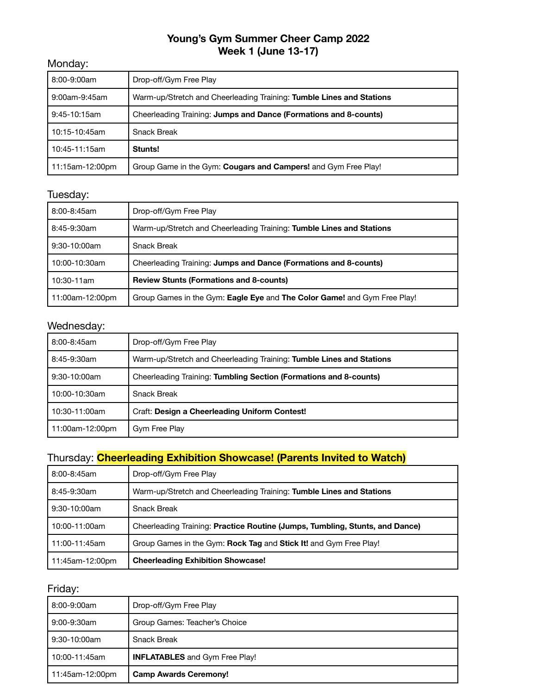## **Young's Gym Summer Cheer Camp 2022 Week 1 (June 13-17)**

#### Monday:

| 8:00-9:00am     | Drop-off/Gym Free Play                                               |
|-----------------|----------------------------------------------------------------------|
| 9:00am-9:45am   | Warm-up/Stretch and Cheerleading Training: Tumble Lines and Stations |
| $9:45-10:15am$  | Cheerleading Training: Jumps and Dance (Formations and 8-counts)     |
| 10:15-10:45am   | <b>Snack Break</b>                                                   |
| 10:45-11:15am   | Stunts!                                                              |
| 11:15am-12:00pm | Group Game in the Gym: Cougars and Campers! and Gym Free Play!       |

### Tuesday:

| 8:00-8:45am     | Drop-off/Gym Free Play                                                   |
|-----------------|--------------------------------------------------------------------------|
| 8:45-9:30am     | Warm-up/Stretch and Cheerleading Training: Tumble Lines and Stations     |
| $9:30-10:00am$  | <b>Snack Break</b>                                                       |
| 10:00-10:30am   | Cheerleading Training: Jumps and Dance (Formations and 8-counts)         |
| 10:30-11am      | <b>Review Stunts (Formations and 8-counts)</b>                           |
| 11:00am-12:00pm | Group Games in the Gym: Eagle Eye and The Color Game! and Gym Free Play! |

# Wednesday:

| $8:00 - 8:45$ am | Drop-off/Gym Free Play                                               |
|------------------|----------------------------------------------------------------------|
| 8:45-9:30am      | Warm-up/Stretch and Cheerleading Training: Tumble Lines and Stations |
| $9:30-10:00am$   | Cheerleading Training: Tumbling Section (Formations and 8-counts)    |
| 10:00-10:30am    | <b>Snack Break</b>                                                   |
| 10:30-11:00am    | Craft: Design a Cheerleading Uniform Contest!                        |
| 11:00am-12:00pm  | Gym Free Play                                                        |

## Thursday: **Cheerleading Exhibition Showcase! (Parents Invited to Watch)**

| 11:45am-12:00pm | <b>Cheerleading Exhibition Showcase!</b>                                     |
|-----------------|------------------------------------------------------------------------------|
| 11:00-11:45am   | Group Games in the Gym: Rock Tag and Stick It! and Gym Free Play!            |
| 10:00-11:00am   | Cheerleading Training: Practice Routine (Jumps, Tumbling, Stunts, and Dance) |
| 9:30-10:00am    | <b>Snack Break</b>                                                           |
| 8:45-9:30am     | Warm-up/Stretch and Cheerleading Training: Tumble Lines and Stations         |
| 8:00-8:45am     | Drop-off/Gym Free Play                                                       |

| 8:00-9:00am     | Drop-off/Gym Free Play                |
|-----------------|---------------------------------------|
| 9:00-9:30am     | Group Games: Teacher's Choice         |
| 9:30-10:00am    | <b>Snack Break</b>                    |
| 10:00-11:45am   | <b>INFLATABLES</b> and Gym Free Play! |
| 11:45am-12:00pm | <b>Camp Awards Ceremony!</b>          |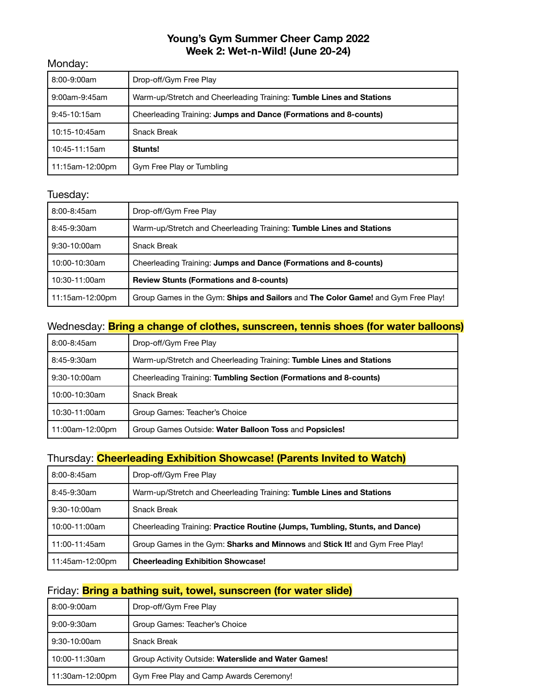### **Young's Gym Summer Cheer Camp 2022 Week 2: Wet-n-Wild! (June 20-24)**

#### Monday:

| 8:00-9:00am     | Drop-off/Gym Free Play                                               |
|-----------------|----------------------------------------------------------------------|
| 9:00am-9:45am   | Warm-up/Stretch and Cheerleading Training: Tumble Lines and Stations |
| 9:45-10:15am    | Cheerleading Training: Jumps and Dance (Formations and 8-counts)     |
| 10:15-10:45am   | <b>Snack Break</b>                                                   |
| 10:45-11:15am   | Stunts!                                                              |
| 11:15am-12:00pm | Gym Free Play or Tumbling                                            |

### Tuesday:

| 8:00-8:45am     | Drop-off/Gym Free Play                                                           |
|-----------------|----------------------------------------------------------------------------------|
| 8:45-9:30am     | Warm-up/Stretch and Cheerleading Training: Tumble Lines and Stations             |
| 9:30-10:00am    | <b>Snack Break</b>                                                               |
| 10:00-10:30am   | Cheerleading Training: Jumps and Dance (Formations and 8-counts)                 |
| 10:30-11:00am   | <b>Review Stunts (Formations and 8-counts)</b>                                   |
| 11:15am-12:00pm | Group Games in the Gym: Ships and Sailors and The Color Game! and Gym Free Play! |

### Wednesday: **Bring a change of clothes, sunscreen, tennis shoes (for water balloons)**

| 8:00-8:45am     | Drop-off/Gym Free Play                                               |
|-----------------|----------------------------------------------------------------------|
| 8:45-9:30am     | Warm-up/Stretch and Cheerleading Training: Tumble Lines and Stations |
| $9:30-10:00am$  | Cheerleading Training: Tumbling Section (Formations and 8-counts)    |
| 10:00-10:30am   | <b>Snack Break</b>                                                   |
| 10:30-11:00am   | Group Games: Teacher's Choice                                        |
| 11:00am-12:00pm | Group Games Outside: Water Balloon Toss and Popsicles!               |

#### Thursday: **Cheerleading Exhibition Showcase! (Parents Invited to Watch)**

| 8:00-8:45am     | Drop-off/Gym Free Play                                                       |
|-----------------|------------------------------------------------------------------------------|
| 8:45-9:30am     | Warm-up/Stretch and Cheerleading Training: Tumble Lines and Stations         |
| $9:30-10:00am$  | <b>Snack Break</b>                                                           |
| 10:00-11:00am   | Cheerleading Training: Practice Routine (Jumps, Tumbling, Stunts, and Dance) |
| 11:00-11:45am   | Group Games in the Gym: Sharks and Minnows and Stick It! and Gym Free Play!  |
| 11:45am-12:00pm | <b>Cheerleading Exhibition Showcase!</b>                                     |

## Friday: **Bring a bathing suit, towel, sunscreen (for water slide)**

| 8:00-9:00am     | Drop-off/Gym Free Play                              |
|-----------------|-----------------------------------------------------|
| 9:00-9:30am     | Group Games: Teacher's Choice                       |
| 9:30-10:00am    | <b>Snack Break</b>                                  |
| 10:00-11:30am   | Group Activity Outside: Waterslide and Water Games! |
| 11:30am-12:00pm | Gym Free Play and Camp Awards Ceremony!             |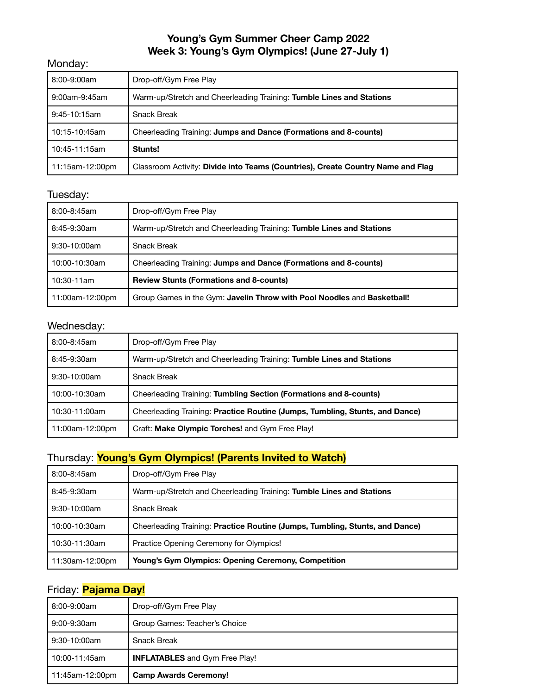### **Young's Gym Summer Cheer Camp 2022 Week 3: Young's Gym Olympics! (June 27-July 1)**

#### Monday:

| 8:00-9:00am     | Drop-off/Gym Free Play                                                          |
|-----------------|---------------------------------------------------------------------------------|
| 9:00am-9:45am   | Warm-up/Stretch and Cheerleading Training: Tumble Lines and Stations            |
| $9:45-10:15am$  | <b>Snack Break</b>                                                              |
| 10:15-10:45am   | Cheerleading Training: Jumps and Dance (Formations and 8-counts)                |
| 10:45-11:15am   | Stunts!                                                                         |
| 11:15am-12:00pm | Classroom Activity: Divide into Teams (Countries), Create Country Name and Flag |

# Tuesday:

| 8:00-8:45am     | Drop-off/Gym Free Play                                                  |
|-----------------|-------------------------------------------------------------------------|
| 8:45-9:30am     | Warm-up/Stretch and Cheerleading Training: Tumble Lines and Stations    |
| 9:30-10:00am    | <b>Snack Break</b>                                                      |
| 10:00-10:30am   | Cheerleading Training: Jumps and Dance (Formations and 8-counts)        |
| 10:30-11am      | <b>Review Stunts (Formations and 8-counts)</b>                          |
| 11:00am-12:00pm | Group Games in the Gym: Javelin Throw with Pool Noodles and Basketball! |

### Wednesday:

| $8:00 - 8:45$ am | Drop-off/Gym Free Play                                                       |
|------------------|------------------------------------------------------------------------------|
| 8:45-9:30am      | Warm-up/Stretch and Cheerleading Training: Tumble Lines and Stations         |
| $9:30-10:00am$   | <b>Snack Break</b>                                                           |
| 10:00-10:30am    | Cheerleading Training: Tumbling Section (Formations and 8-counts)            |
| 10:30-11:00am    | Cheerleading Training: Practice Routine (Jumps, Tumbling, Stunts, and Dance) |
| 11:00am-12:00pm  | Craft: Make Olympic Torches! and Gym Free Play!                              |

## Thursday: **Young's Gym Olympics! (Parents Invited to Watch)**

| 8:00-8:45am     | Drop-off/Gym Free Play                                                       |
|-----------------|------------------------------------------------------------------------------|
| 8:45-9:30am     | Warm-up/Stretch and Cheerleading Training: Tumble Lines and Stations         |
| $9:30-10:00am$  | <b>Snack Break</b>                                                           |
| 10:00-10:30am   | Cheerleading Training: Practice Routine (Jumps, Tumbling, Stunts, and Dance) |
| 10:30-11:30am   | Practice Opening Ceremony for Olympics!                                      |
| 11:30am-12:00pm | <b>Young's Gym Olympics: Opening Ceremony, Competition</b>                   |

## Friday: **Pajama Day!**

| 8:00-9:00am     | Drop-off/Gym Free Play                |
|-----------------|---------------------------------------|
| 9:00-9:30am     | Group Games: Teacher's Choice         |
| 9:30-10:00am    | <b>Snack Break</b>                    |
| 10:00-11:45am   | <b>INFLATABLES</b> and Gym Free Play! |
| 11:45am-12:00pm | <b>Camp Awards Ceremony!</b>          |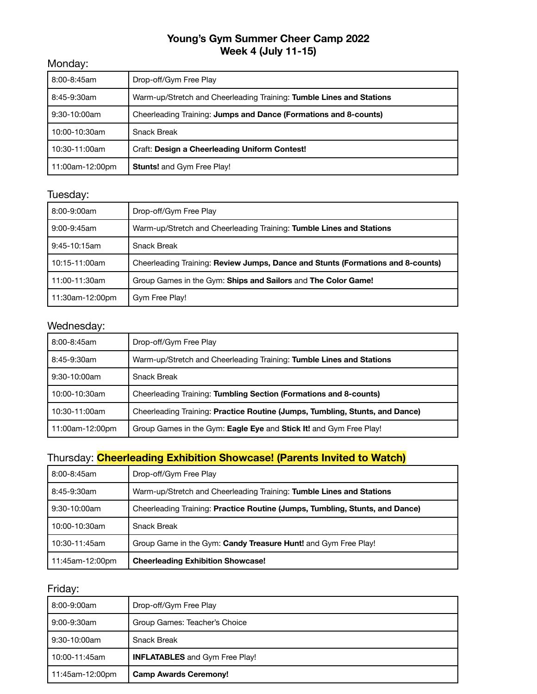## **Young's Gym Summer Cheer Camp 2022 Week 4 (July 11-15)**

#### Monday:

| 8:00-8:45am     | Drop-off/Gym Free Play                                               |
|-----------------|----------------------------------------------------------------------|
| 8:45-9:30am     | Warm-up/Stretch and Cheerleading Training: Tumble Lines and Stations |
| $9:30-10:00am$  | Cheerleading Training: Jumps and Dance (Formations and 8-counts)     |
| 10:00-10:30am   | <b>Snack Break</b>                                                   |
| 10:30-11:00am   | Craft: Design a Cheerleading Uniform Contest!                        |
| 11:00am-12:00pm | <b>Stunts!</b> and Gym Free Play!                                    |

# Tuesday:

| 8:00-9:00am     | Drop-off/Gym Free Play                                                          |
|-----------------|---------------------------------------------------------------------------------|
| $9:00-9:45$ am  | Warm-up/Stretch and Cheerleading Training: Tumble Lines and Stations            |
| $9:45-10:15am$  | <b>Snack Break</b>                                                              |
| 10:15-11:00am   | Cheerleading Training: Review Jumps, Dance and Stunts (Formations and 8-counts) |
| 11:00-11:30am   | Group Games in the Gym: Ships and Sailors and The Color Game!                   |
| 11:30am-12:00pm | Gym Free Play!                                                                  |

# Wednesday:

| 8:00-8:45am     | Drop-off/Gym Free Play                                                       |
|-----------------|------------------------------------------------------------------------------|
| 8:45-9:30am     | Warm-up/Stretch and Cheerleading Training: Tumble Lines and Stations         |
| $9:30-10:00am$  | <b>Snack Break</b>                                                           |
| 10:00-10:30am   | Cheerleading Training: Tumbling Section (Formations and 8-counts)            |
| 10:30-11:00am   | Cheerleading Training: Practice Routine (Jumps, Tumbling, Stunts, and Dance) |
| 11:00am-12:00pm | Group Games in the Gym: Eagle Eye and Stick It! and Gym Free Play!           |

## Thursday: **Cheerleading Exhibition Showcase! (Parents Invited to Watch)**

| 8:00-8:45am     | Drop-off/Gym Free Play                                                       |
|-----------------|------------------------------------------------------------------------------|
| 8:45-9:30am     | Warm-up/Stretch and Cheerleading Training: Tumble Lines and Stations         |
| 9:30-10:00am    | Cheerleading Training: Practice Routine (Jumps, Tumbling, Stunts, and Dance) |
| 10:00-10:30am   | <b>Snack Break</b>                                                           |
| 10:30-11:45am   | Group Game in the Gym: Candy Treasure Hunt! and Gym Free Play!               |
| 11:45am-12:00pm | <b>Cheerleading Exhibition Showcase!</b>                                     |

| 8:00-9:00am     | Drop-off/Gym Free Play                |
|-----------------|---------------------------------------|
| 9:00-9:30am     | Group Games: Teacher's Choice         |
| 9:30-10:00am    | <b>Snack Break</b>                    |
| 10:00-11:45am   | <b>INFLATABLES</b> and Gym Free Play! |
| 11:45am-12:00pm | <b>Camp Awards Ceremony!</b>          |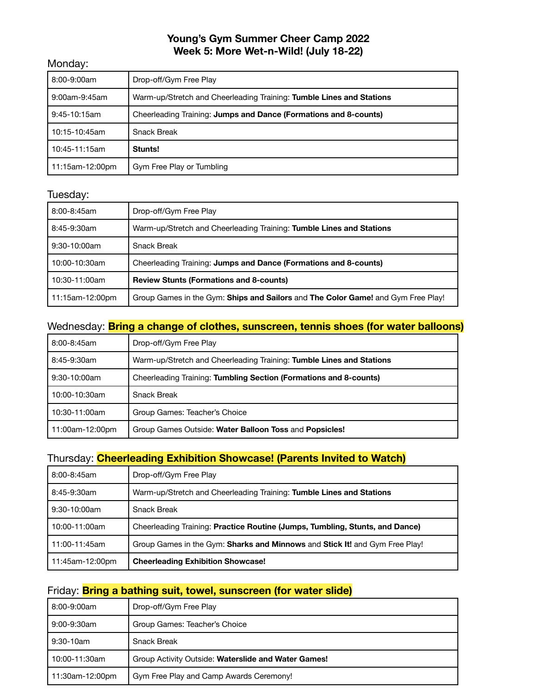### **Young's Gym Summer Cheer Camp 2022 Week 5: More Wet-n-Wild! (July 18-22)**

#### Monday:

| 8:00-9:00am     | Drop-off/Gym Free Play                                               |
|-----------------|----------------------------------------------------------------------|
| 9:00am-9:45am   | Warm-up/Stretch and Cheerleading Training: Tumble Lines and Stations |
| $9:45-10:15am$  | Cheerleading Training: Jumps and Dance (Formations and 8-counts)     |
| 10:15-10:45am   | <b>Snack Break</b>                                                   |
| 10:45-11:15am   | Stunts!                                                              |
| 11:15am-12:00pm | Gym Free Play or Tumbling                                            |

### Tuesday:

| 8:00-8:45am     | Drop-off/Gym Free Play                                                           |
|-----------------|----------------------------------------------------------------------------------|
| 8:45-9:30am     | Warm-up/Stretch and Cheerleading Training: Tumble Lines and Stations             |
| 9:30-10:00am    | <b>Snack Break</b>                                                               |
| 10:00-10:30am   | Cheerleading Training: Jumps and Dance (Formations and 8-counts)                 |
| 10:30-11:00am   | <b>Review Stunts (Formations and 8-counts)</b>                                   |
| 11:15am-12:00pm | Group Games in the Gym: Ships and Sailors and The Color Game! and Gym Free Play! |

## Wednesday: **Bring a change of clothes, sunscreen, tennis shoes (for water balloons)**

| 8:00-8:45am     | Drop-off/Gym Free Play                                               |
|-----------------|----------------------------------------------------------------------|
| 8:45-9:30am     | Warm-up/Stretch and Cheerleading Training: Tumble Lines and Stations |
| $9:30-10:00am$  | Cheerleading Training: Tumbling Section (Formations and 8-counts)    |
| 10:00-10:30am   | <b>Snack Break</b>                                                   |
| 10:30-11:00am   | Group Games: Teacher's Choice                                        |
| 11:00am-12:00pm | Group Games Outside: Water Balloon Toss and Popsicles!               |

#### Thursday: **Cheerleading Exhibition Showcase! (Parents Invited to Watch)**

| 8:00-8:45am     | Drop-off/Gym Free Play                                                       |
|-----------------|------------------------------------------------------------------------------|
| 8:45-9:30am     | Warm-up/Stretch and Cheerleading Training: Tumble Lines and Stations         |
| $9:30-10:00am$  | <b>Snack Break</b>                                                           |
| 10:00-11:00am   | Cheerleading Training: Practice Routine (Jumps, Tumbling, Stunts, and Dance) |
| 11:00-11:45am   | Group Games in the Gym: Sharks and Minnows and Stick It! and Gym Free Play!  |
| 11:45am-12:00pm | <b>Cheerleading Exhibition Showcase!</b>                                     |

## Friday: **Bring a bathing suit, towel, sunscreen (for water slide)**

| 8:00-9:00am     | Drop-off/Gym Free Play                              |
|-----------------|-----------------------------------------------------|
| 9:00-9:30am     | Group Games: Teacher's Choice                       |
| 9:30-10am       | <b>Snack Break</b>                                  |
| 10:00-11:30am   | Group Activity Outside: Waterslide and Water Games! |
| 11:30am-12:00pm | Gym Free Play and Camp Awards Ceremony!             |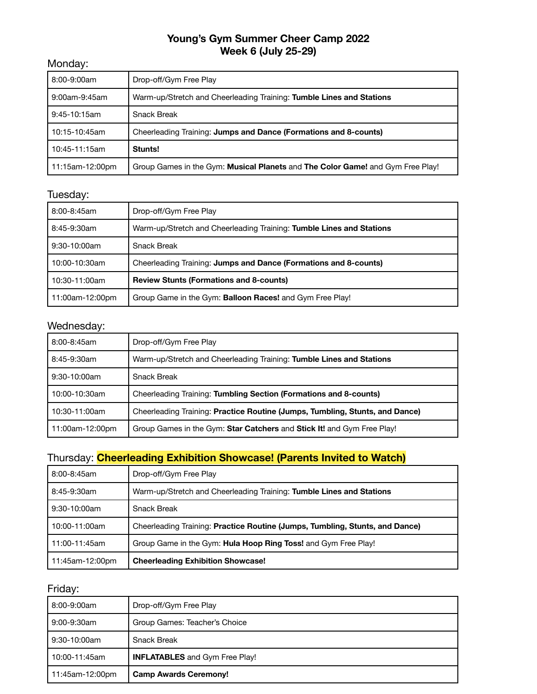## **Young's Gym Summer Cheer Camp 2022 Week 6 (July 25-29)**

#### Monday:

| 8:00-9:00am     | Drop-off/Gym Free Play                                                         |
|-----------------|--------------------------------------------------------------------------------|
| 9:00am-9:45am   | Warm-up/Stretch and Cheerleading Training: Tumble Lines and Stations           |
| $9:45-10:15am$  | <b>Snack Break</b>                                                             |
| 10:15-10:45am   | Cheerleading Training: Jumps and Dance (Formations and 8-counts)               |
| 10:45-11:15am   | Stunts!                                                                        |
| 11:15am-12:00pm | Group Games in the Gym: Musical Planets and The Color Game! and Gym Free Play! |

## Tuesday:

| 8:00-8:45am     | Drop-off/Gym Free Play                                               |
|-----------------|----------------------------------------------------------------------|
| 8:45-9:30am     | Warm-up/Stretch and Cheerleading Training: Tumble Lines and Stations |
| 9:30-10:00am    | <b>Snack Break</b>                                                   |
| 10:00-10:30am   | Cheerleading Training: Jumps and Dance (Formations and 8-counts)     |
| 10:30-11:00am   | <b>Review Stunts (Formations and 8-counts)</b>                       |
| 11:00am-12:00pm | Group Game in the Gym: Balloon Races! and Gym Free Play!             |

# Wednesday:

| 8:00-8:45am     | Drop-off/Gym Free Play                                                       |
|-----------------|------------------------------------------------------------------------------|
| 8:45-9:30am     | Warm-up/Stretch and Cheerleading Training: Tumble Lines and Stations         |
| $9:30-10:00am$  | <b>Snack Break</b>                                                           |
| 10:00-10:30am   | Cheerleading Training: Tumbling Section (Formations and 8-counts)            |
| 10:30-11:00am   | Cheerleading Training: Practice Routine (Jumps, Tumbling, Stunts, and Dance) |
| 11:00am-12:00pm | Group Games in the Gym: Star Catchers and Stick It! and Gym Free Play!       |

## Thursday: **Cheerleading Exhibition Showcase! (Parents Invited to Watch)**

| 8:00-8:45am     | Drop-off/Gym Free Play                                                       |
|-----------------|------------------------------------------------------------------------------|
| 8:45-9:30am     | Warm-up/Stretch and Cheerleading Training: Tumble Lines and Stations         |
| 9:30-10:00am    | <b>Snack Break</b>                                                           |
| 10:00-11:00am   | Cheerleading Training: Practice Routine (Jumps, Tumbling, Stunts, and Dance) |
| 11:00-11:45am   | Group Game in the Gym: <b>Hula Hoop Ring Toss!</b> and Gym Free Play!        |
| 11:45am-12:00pm | <b>Cheerleading Exhibition Showcase!</b>                                     |

| 8:00-9:00am     | Drop-off/Gym Free Play                |
|-----------------|---------------------------------------|
| 9:00-9:30am     | Group Games: Teacher's Choice         |
| 9:30-10:00am    | <b>Snack Break</b>                    |
| 10:00-11:45am   | <b>INFLATABLES</b> and Gym Free Play! |
| 11:45am-12:00pm | <b>Camp Awards Ceremony!</b>          |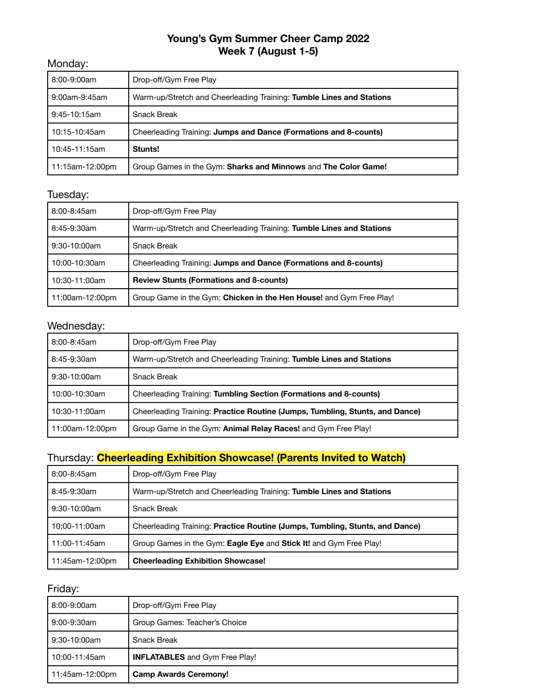## **Young's Gym Summer Cheer Camp 2022 Week 7 (August 1-5)**

#### Monday:

| 8:00-9:00am     | Drop-off/Gym Free Play                                               |
|-----------------|----------------------------------------------------------------------|
| 9:00am-9:45am   | Warm-up/Stretch and Cheerleading Training: Tumble Lines and Stations |
| 9:45-10:15am    | Snack Break                                                          |
| 10:15-10:45am   | Cheerleading Training: Jumps and Dance (Formations and 8-counts)     |
| 10:45-11:15am   | Stunts!                                                              |
| 11:15am-12:00pm | Group Games in the Gym: Sharks and Minnows and The Color Game!       |

# Tuesday:

| 8:00-8:45am     | Drop-off/Gym Free Play                                               |
|-----------------|----------------------------------------------------------------------|
| 8:45-9:30am     | Warm-up/Stretch and Cheerleading Training: Tumble Lines and Stations |
| 9:30-10:00am    | <b>Snack Break</b>                                                   |
| 10:00-10:30am   | Cheerleading Training: Jumps and Dance (Formations and 8-counts)     |
| 10:30-11:00am   | <b>Review Stunts (Formations and 8-counts)</b>                       |
| 11:00am-12:00pm | Group Game in the Gym: Chicken in the Hen House! and Gym Free Play!  |

# Wednesday:

| 8:00-8:45am     | Drop-off/Gym Free Play                                                       |
|-----------------|------------------------------------------------------------------------------|
| 8:45-9:30am     | Warm-up/Stretch and Cheerleading Training: Tumble Lines and Stations         |
| $9:30-10:00am$  | <b>Snack Break</b>                                                           |
| 10:00-10:30am   | Cheerleading Training: Tumbling Section (Formations and 8-counts)            |
| 10:30-11:00am   | Cheerleading Training: Practice Routine (Jumps, Tumbling, Stunts, and Dance) |
| 11:00am-12:00pm | Group Game in the Gym: Animal Relay Races! and Gym Free Play!                |

## Thursday: **Cheerleading Exhibition Showcase! (Parents Invited to Watch)**

| 11:45am-12:00pm | <b>Cheerleading Exhibition Showcase!</b>                                     |
|-----------------|------------------------------------------------------------------------------|
| 11:00-11:45am   | Group Games in the Gym: Eagle Eye and Stick It! and Gym Free Play!           |
| 10:00-11:00am   | Cheerleading Training: Practice Routine (Jumps, Tumbling, Stunts, and Dance) |
| $9:30-10:00am$  | <b>Snack Break</b>                                                           |
| 8:45-9:30am     | Warm-up/Stretch and Cheerleading Training: Tumble Lines and Stations         |
| 8:00-8:45am     | Drop-off/Gym Free Play                                                       |

| 8:00-9:00am     | Drop-off/Gym Free Play                |
|-----------------|---------------------------------------|
| 9:00-9:30am     | Group Games: Teacher's Choice         |
| 9:30-10:00am    | <b>Snack Break</b>                    |
| 10:00-11:45am   | <b>INFLATABLES</b> and Gym Free Play! |
| 11:45am-12:00pm | <b>Camp Awards Ceremony!</b>          |